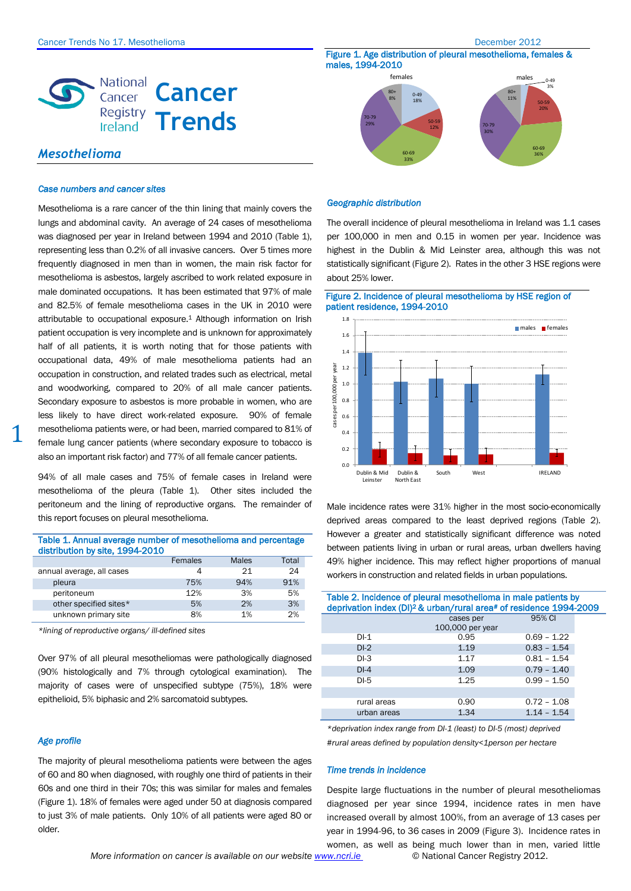Figure 1. Age distribution of pleural mesothelioma, females &



# *Mesothelioma*

### *Case numbers and cancer sites*

Mesothelioma is a rare cancer of the thin lining that mainly covers the lungs and abdominal cavity. An average of 24 cases of mesothelioma was diagnosed per year in Ireland between 1994 and 2010 (Table 1), representing less than 0.2% of all invasive cancers. Over 5 times more frequently diagnosed in men than in women, the main risk factor for mesothelioma is asbestos, largely ascribed to work related exposure in male dominated occupations. It has been estimated that 97% of male and 82.5% of female mesothelioma cases in the UK in 2010 were attributable to occupational exposure.<sup>1</sup> Although information on Irish patient occupation is very incomplete and is unknown for approximately half of all patients, it is worth noting that for those patients with occupational data, 49% of male mesothelioma patients had an occupation in construction, and related trades such as electrical, metal and woodworking, compared to 20% of all male cancer patients. Secondary exposure to asbestos is more probable in women, who are less likely to have direct work-related exposure. 90% of female mesothelioma patients were, or had been, married compared to 81% of female lung cancer patients (where secondary exposure to tobacco is also an important risk factor) and 77% of all female cancer patients.

94% of all male cases and 75% of female cases in Ireland were mesothelioma of the pleura (Table 1). Other sites included the peritoneum and the lining of reproductive organs. The remainder of this report focuses on pleural mesothelioma.

| Table 1. Annual average number of mesothelioma and percentage<br>distribution by site, 1994-2010 |         |              |       |
|--------------------------------------------------------------------------------------------------|---------|--------------|-------|
|                                                                                                  | Females | <b>Males</b> | Total |
| annual average, all cases                                                                        | 4       | 21           | 24    |
| pleura                                                                                           | 75%     | 94%          | 91%   |
| peritoneum                                                                                       | 12%     | 3%           | 5%    |
| other specified sites*                                                                           | 5%      | 2%           | 3%    |
| unknown primary site                                                                             | 8%      | 1%           | 2%    |

*\*lining of reproductive organs/ ill-defined sites*

Over 97% of all pleural mesotheliomas were pathologically diagnosed (90% histologically and 7% through cytological examination). The majority of cases were of unspecified subtype (75%), 18% were epithelioid, 5% biphasic and 2% sarcomatoid subtypes.

### *Age profile*

1

The majority of pleural mesothelioma patients were between the ages of 60 and 80 when diagnosed, with roughly one third of patients in their 60s and one third in their 70s; this was similar for males and females (Figure 1). 18% of females were aged under 50 at diagnosis compared to just 3% of male patients. Only 10% of all patients were aged 80 or older.



# *Geographic distribution*

The overall incidence of pleural mesothelioma in Ireland was 1.1 cases per 100,000 in men and 0.15 in women per year. Incidence was highest in the Dublin & Mid Leinster area, although this was not statistically significant (Figure 2). Rates in the other 3 HSE regions were about 25% lower.

Figure 2. Incidence of pleural mesothelioma by HSE region of patient residence, 1994-2010



Male incidence rates were 31% higher in the most socio-economically deprived areas compared to the least deprived regions (Table 2). However a greater and statistically significant difference was noted between patients living in urban or rural areas, urban dwellers having 49% higher incidence. This may reflect higher proportions of manual workers in construction and related fields in urban populations.

| Table 2. Incidence of pleural mesothelioma in male patients by<br>deprivation index (DI) <sup>2</sup> & urban/rural area# of residence 1994-2009 |                               |               |  |  |
|--------------------------------------------------------------------------------------------------------------------------------------------------|-------------------------------|---------------|--|--|
|                                                                                                                                                  | cases per<br>100,000 per year | 95% CI        |  |  |
| DI-1                                                                                                                                             | 0.95                          | $0.69 - 1.22$ |  |  |
| $DI-2$                                                                                                                                           | 1.19                          | $0.83 - 1.54$ |  |  |
| $DI-3$                                                                                                                                           | 1.17                          | $0.81 - 1.54$ |  |  |
| $DI-4$                                                                                                                                           | 1.09                          | $0.79 - 1.40$ |  |  |
| $DI-5$                                                                                                                                           | 1.25                          | $0.99 - 1.50$ |  |  |
|                                                                                                                                                  |                               |               |  |  |
| rural areas                                                                                                                                      | 0.90                          | $0.72 - 1.08$ |  |  |
| urban areas                                                                                                                                      | 1.34                          | $1.14 - 1.54$ |  |  |

*\*deprivation index range from DI-1 (least) to DI-5 (most) deprived #rural areas defined by population density<1person per hectare*

## *Time trends in incidence*

Despite large fluctuations in the number of pleural mesotheliomas diagnosed per year since 1994, incidence rates in men have increased overall by almost 100%, from an average of 13 cases per year in 1994-96, to 36 cases in 2009 (Figure 3). Incidence rates in women, as well as being much lower than in men, varied little

*More information on cancer is available on our website www.ncri.ie* © National Cancer Registry 2012.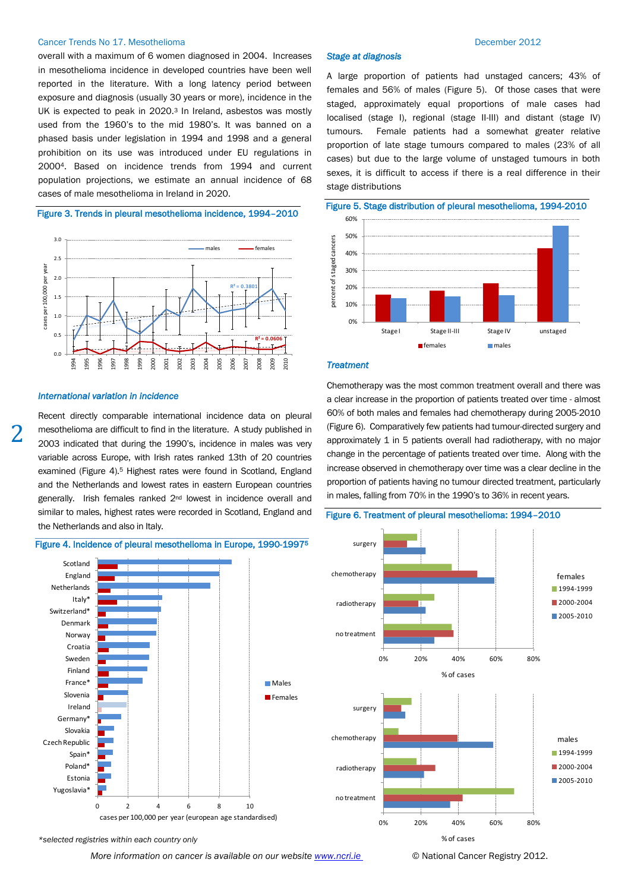## Cancer Trends No 17. Mesothelioma December 2012

overall with a maximum of 6 women diagnosed in 2004. Increases in mesothelioma incidence in developed countries have been well reported in the literature. With a long latency period between exposure and diagnosis (usually 30 years or more), incidence in the UK is expected to peak in 2020. <sup>3</sup> In Ireland, asbestos was mostly used from the 1960's to the mid 1980's. It was banned on a phased basis under legislation in 1994 and 1998 and a general prohibition on its use was introduced under EU regulations in 20004. Based on incidence trends from 1994 and current population projections, we estimate an annual incidence of 68 cases of male mesothelioma in Ireland in 2020.

# Figure 3. Trends in pleural mesothelioma incidence, 1994–2010



### *International variation in incidence*

Recent directly comparable international incidence data on pleural mesothelioma are difficult to find in the literature. A study published in 2003 indicated that during the 1990's, incidence in males was very variable across Europe, with Irish rates ranked 13th of 20 countries examined (Figure 4). <sup>5</sup> Highest rates were found in Scotland, England and the Netherlands and lowest rates in eastern European countries generally. Irish females ranked 2nd lowest in incidence overall and similar to males, highest rates were recorded in Scotland, England and the Netherlands and also in Italy.



### Figure 4. Incidence of pleural mesothelioma in Europe, 1990-1997<sup>5</sup>

*Stage at diagnosis* 

A large proportion of patients had unstaged cancers; 43% of females and 56% of males (Figure 5). Of those cases that were staged, approximately equal proportions of male cases had localised (stage I), regional (stage II-III) and distant (stage IV) tumours. Female patients had a somewhat greater relative proportion of late stage tumours compared to males (23% of all cases) but due to the large volume of unstaged tumours in both sexes, it is difficult to access if there is a real difference in their stage distributions



### *Treatment*

Chemotherapy was the most common treatment overall and there was a clear increase in the proportion of patients treated over time - almost 60% of both males and females had chemotherapy during 2005-2010 (Figure 6). Comparatively few patients had tumour-directed surgery and approximately 1 in 5 patients overall had radiotherapy, with no major change in the percentage of patients treated over time. Along with the increase observed in chemotherapy over time was a clear decline in the proportion of patients having no tumour directed treatment, particularly in males, falling from 70% in the 1990's to 36% in recent years.





*\*selected registries within each country only*

*More information on cancer is available on our website www.ncri.ie* © National Cancer Registry 2012.

2